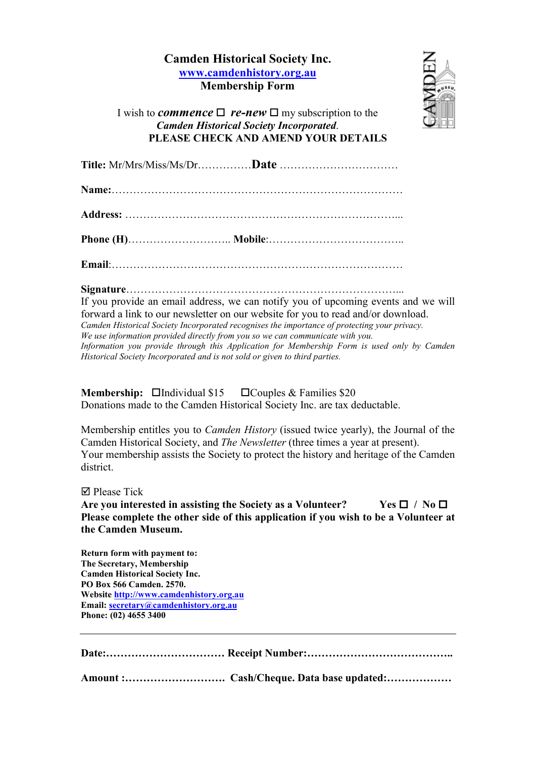## Camden Historical Society Inc. [www.camdenhistory.org.au](http://www.camdenhistory.org.au/) Membership Form



I wish to *commence*  $\Box$  *re-new*  $\Box$  my subscription to the *Camden Historical Society Incorporated*. PLEASE CHECK AND AMEND YOUR DETAILS

Title: Mr/Mrs/Miss/Ms/Dr……………Date ……………………………

Name:………………………………………………………………………

Address: …………………………………………………………………...

Phone (H)……………………….. Mobile:………………………………..

Email:………………………………………………………………………

## Signature…………………………………………………………………...

If you provide an email address, we can notify you of upcoming events and we will forward a link to our newsletter on our website for you to read and/or download. *Camden Historical Society Incorporated recognises the importance of protecting your privacy. We use information provided directly from you so we can communicate with you. Information you provide through this Application for Membership Form is used only by Camden Historical Society Incorporated and is not sold or given to third parties.*

**Membership:**  $\Box$ Individual \$15  $\Box$ Couples & Families \$20 Donations made to the Camden Historical Society Inc. are tax deductable.

Membership entitles you to *Camden History* (issued twice yearly), the Journal of the Camden Historical Society, and *The Newsletter* (three times a year at present). Your membership assists the Society to protect the history and heritage of the Camden district.

**Ø** Please Tick

Are you interested in assisting the Society as a Volunteer? Yes  $\Box$  / No  $\Box$ Please complete the other side of this application if you wish to be a Volunteer at the Camden Museum.

Return form with payment to: The Secretary, Membership Camden Historical Society Inc. PO Box 566 Camden. 2570. Website [http://www.camdenhistory.org.au](http://www.camdenhistory.org.au/) Email: [secretary@camdenhistory.org.au](mailto:secretary@camdenhistory.org.au) Phone: (02) 4655 3400

Date:…………………………… Receipt Number:…………………………………..

Amount :………………………. Cash/Cheque. Data base updated:………………